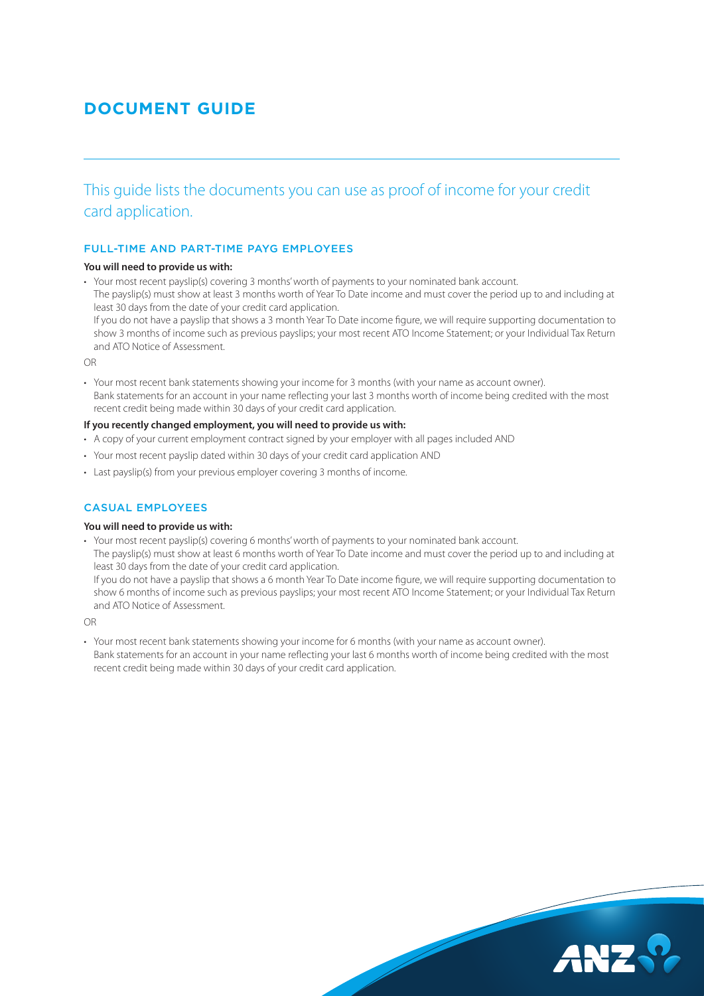# **DOCUMENT GUIDE**

This guide lists the documents you can use as proof of income for your credit card application.

# FULL-TIME AND PART-TIME PAYG EMPLOYEES

## **You will need to provide us with:**

• Your most recent payslip(s) covering 3 months' worth of payments to your nominated bank account.

The payslip(s) must show at least 3 months worth of Year To Date income and must cover the period up to and including at least 30 days from the date of your credit card application.

If you do not have a payslip that shows a 3 month Year To Date income figure, we will require supporting documentation to show 3 months of income such as previous payslips; your most recent ATO Income Statement; or your Individual Tax Return and ATO Notice of Assessment.

OR

• Your most recent bank statements showing your income for 3 months (with your name as account owner). Bank statements for an account in your name reflecting your last 3 months worth of income being credited with the most recent credit being made within 30 days of your credit card application.

#### **If you recently changed employment, you will need to provide us with:**

- A copy of your current employment contract signed by your employer with all pages included AND
- Your most recent payslip dated within 30 days of your credit card application AND
- Last payslip(s) from your previous employer covering 3 months of income.

# CASUAL EMPLOYEES

#### **You will need to provide us with:**

• Your most recent payslip(s) covering 6 months' worth of payments to your nominated bank account.

The payslip(s) must show at least 6 months worth of Year To Date income and must cover the period up to and including at least 30 days from the date of your credit card application.

If you do not have a payslip that shows a 6 month Year To Date income figure, we will require supporting documentation to show 6 months of income such as previous payslips; your most recent ATO Income Statement; or your Individual Tax Return and ATO Notice of Assessment.

OR

• Your most recent bank statements showing your income for 6 months (with your name as account owner). Bank statements for an account in your name reflecting your last 6 months worth of income being credited with the most recent credit being made within 30 days of your credit card application.

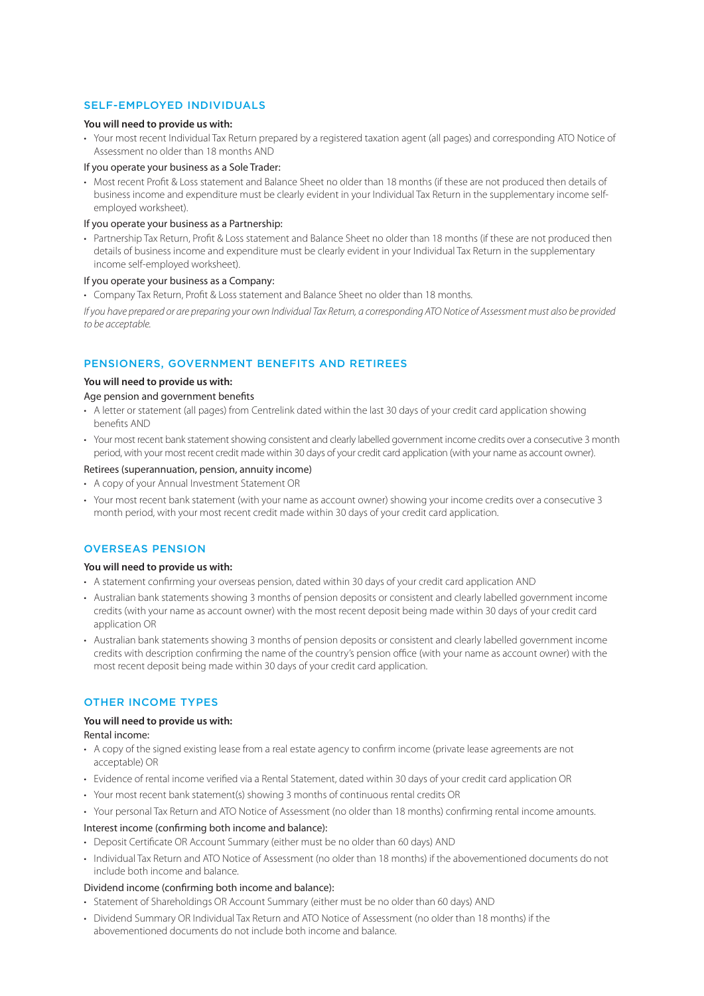## SELF-EMPLOYED INDIVIDUALS

## **You will need to provide us with:**

• Your most recent Individual Tax Return prepared by a registered taxation agent (all pages) and corresponding ATO Notice of Assessment no older than 18 months AND

## If you operate your business as a Sole Trader:

• Most recent Profit & Loss statement and Balance Sheet no older than 18 months (if these are not produced then details of business income and expenditure must be clearly evident in your Individual Tax Return in the supplementary income selfemployed worksheet).

#### If you operate your business as a Partnership:

• Partnership Tax Return, Profit & Loss statement and Balance Sheet no older than 18 months (if these are not produced then details of business income and expenditure must be clearly evident in your Individual Tax Return in the supplementary income self-employed worksheet).

#### If you operate your business as a Company:

• Company Tax Return, Profit & Loss statement and Balance Sheet no older than 18 months.

*If you have prepared or are preparing your own Individual Tax Return, a corresponding ATO Notice of Assessment must also be provided to be acceptable.*

# PENSIONERS, GOVERNMENT BENEFITS AND RETIREES

## **You will need to provide us with:**

#### Age pension and government benefits

- A letter or statement (all pages) from Centrelink dated within the last 30 days of your credit card application showing benefits AND
- Your most recent bank statement showing consistent and clearly labelled government income credits over a consecutive 3 month period, with your most recent credit made within 30 days of your credit card application (with your name as account owner).

#### Retirees (superannuation, pension, annuity income)

- A copy of your Annual Investment Statement OR
- Your most recent bank statement (with your name as account owner) showing your income credits over a consecutive 3 month period, with your most recent credit made within 30 days of your credit card application.

#### OVERSEAS PENSION

#### **You will need to provide us with:**

- A statement confirming your overseas pension, dated within 30 days of your credit card application AND
- Australian bank statements showing 3 months of pension deposits or consistent and clearly labelled government income credits (with your name as account owner) with the most recent deposit being made within 30 days of your credit card application OR
- Australian bank statements showing 3 months of pension deposits or consistent and clearly labelled government income credits with description confirming the name of the country's pension office (with your name as account owner) with the most recent deposit being made within 30 days of your credit card application.

## OTHER INCOME TYPES

## **You will need to provide us with:**

Rental income:

- A copy of the signed existing lease from a real estate agency to confirm income (private lease agreements are not acceptable) OR
- Evidence of rental income verified via a Rental Statement, dated within 30 days of your credit card application OR
- Your most recent bank statement(s) showing 3 months of continuous rental credits OR
- Your personal Tax Return and ATO Notice of Assessment (no older than 18 months) confirming rental income amounts.

#### Interest income (confirming both income and balance):

- Deposit Certificate OR Account Summary (either must be no older than 60 days) AND
- Individual Tax Return and ATO Notice of Assessment (no older than 18 months) if the abovementioned documents do not include both income and balance.

## Dividend income (confirming both income and balance):

- Statement of Shareholdings OR Account Summary (either must be no older than 60 days) AND
- Dividend Summary OR Individual Tax Return and ATO Notice of Assessment (no older than 18 months) if the abovementioned documents do not include both income and balance.